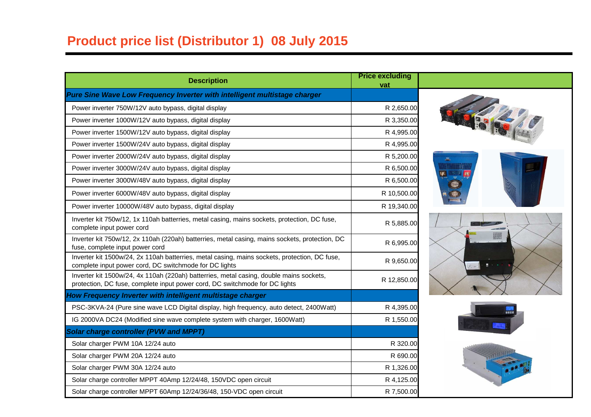## **Product price list (Distributor 1) 08 July 2015**

| <b>Description</b>                                                                                                                                                     | <b>Price excluding</b><br>vat |  |
|------------------------------------------------------------------------------------------------------------------------------------------------------------------------|-------------------------------|--|
| Pure Sine Wave Low Frequency Inverter with intelligent multistage charger                                                                                              |                               |  |
| Power inverter 750W/12V auto bypass, digital display                                                                                                                   | R 2,650.00                    |  |
| Power inverter 1000W/12V auto bypass, digital display                                                                                                                  | R 3,350.00                    |  |
| Power inverter 1500W/12V auto bypass, digital display                                                                                                                  | R 4,995.00                    |  |
| Power inverter 1500W/24V auto bypass, digital display                                                                                                                  | R 4,995.00                    |  |
| Power inverter 2000W/24V auto bypass, digital display                                                                                                                  | R 5,200.00                    |  |
| Power inverter 3000W/24V auto bypass, digital display                                                                                                                  | R 6,500.00                    |  |
| Power inverter 3000W/48V auto bypass, digital display                                                                                                                  | R 6,500.00                    |  |
| Power inverter 6000W/48V auto bypass, digital display                                                                                                                  | R 10,500.00                   |  |
| Power inverter 10000W/48V auto bypass, digital display                                                                                                                 | R 19,340.00                   |  |
| Inverter kit 750w/12, 1x 110ah batterries, metal casing, mains sockets, protection, DC fuse,<br>complete input power cord                                              | R 5,885.00                    |  |
| Inverter kit 750w/12, 2x 110ah (220ah) batterries, metal casing, mains sockets, protection, DC<br>fuse, complete input power cord                                      | R 6,995.00                    |  |
| Inverter kit 1500w/24, 2x 110ah batterries, metal casing, mains sockets, protection, DC fuse,<br>complete input power cord, DC switchmode for DC lights                | R 9,650.00                    |  |
| Inverter kit 1500w/24, 4x 110ah (220ah) batterries, metal casing, double mains sockets,<br>protection, DC fuse, complete input power cord, DC switchmode for DC lights | R 12,850.00                   |  |
| How Frequency Inverter with intelligent multistage charger                                                                                                             |                               |  |
| PSC-3KVA-24 (Pure sine wave LCD Digital display, high frequency, auto detect, 2400Watt)                                                                                | R 4,395.00                    |  |
| IG 2000VA DC24 (Modified sine wave complete system with charger, 1600Watt)                                                                                             | R 1,550.00                    |  |
| <b>Solar charge controller (PVW and MPPT)</b>                                                                                                                          |                               |  |
| Solar charger PWM 10A 12/24 auto                                                                                                                                       | R 320.00                      |  |
| Solar charger PWM 20A 12/24 auto                                                                                                                                       | R 690.00                      |  |
| Solar charger PWM 30A 12/24 auto                                                                                                                                       | R 1,326.00                    |  |
| Solar charge controller MPPT 40Amp 12/24/48, 150VDC open circuit                                                                                                       | R 4,125.00                    |  |
| Solar charge controller MPPT 60Amp 12/24/36/48, 150-VDC open circuit                                                                                                   | R 7,500.00                    |  |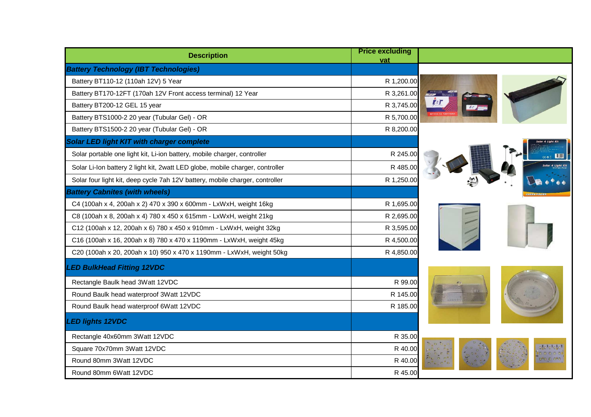| <b>Description</b>                                                            | <b>Price excluding</b><br>vat |  |
|-------------------------------------------------------------------------------|-------------------------------|--|
| <b>Battery Technology (IBT Technologies)</b>                                  |                               |  |
| Battery BT110-12 (110ah 12V) 5 Year                                           | R 1,200.00                    |  |
| Battery BT170-12FT (170ah 12V Front access terminal) 12 Year                  | R 3,261.00                    |  |
| Battery BT200-12 GEL 15 year                                                  | R 3,745.00                    |  |
| Battery BTS1000-2 20 year (Tubular Gel) - OR                                  | R 5,700.00                    |  |
| Battery BTS1500-2 20 year (Tubular Gel) - OR                                  | R 8,200.00                    |  |
| <b>Solar LED light KIT with charger complete</b>                              |                               |  |
| Solar portable one light kit, Li-ion battery, mobile charger, controller      | R 245.00                      |  |
| Solar Li-Ion battery 2 light kit, 2watt LED globe, mobile charger, controller | R 485.0                       |  |
| Solar four light kit, deep cycle 7ah 12V battery, mobile charger, controller  | R 1,250.00                    |  |
| <b>Battery Cabnites (with wheels)</b>                                         |                               |  |
| C4 (100ah x 4, 200ah x 2) 470 x 390 x 600mm - LxWxH, weight 16kg              | R 1,695.00                    |  |
| C8 (100ah x 8, 200ah x 4) 780 x 450 x 615mm - LxWxH, weight 21kg              | R 2,695.00                    |  |
| C12 (100ah x 12, 200ah x 6) 780 x 450 x 910mm - LxWxH, weight 32kg            | R 3,595.00                    |  |
| C16 (100ah x 16, 200ah x 8) 780 x 470 x 1190mm - LxWxH, weight 45kg           | R 4,500.00                    |  |
| C20 (100ah x 20, 200ah x 10) 950 x 470 x 1190mm - LxWxH, weight 50kg          | R 4,850.00                    |  |
| <b>LED BulkHead Fitting 12VDC</b>                                             |                               |  |
| Rectangle Baulk head 3Watt 12VDC                                              | R 99.00                       |  |
| Round Baulk head waterproof 3Watt 12VDC                                       | R 145.00                      |  |
| Round Baulk head waterproof 6Watt 12VDC                                       | R 185.00                      |  |
| <b>LED lights 12VDC</b>                                                       |                               |  |
| Rectangle 40x60mm 3Watt 12VDC                                                 | R 35.00                       |  |
| Square 70x70mm 3Watt 12VDC                                                    | R 40.00                       |  |
| Round 80mm 3Watt 12VDC                                                        | R 40.00                       |  |
| Round 80mm 6Watt 12VDC                                                        | R 45.00                       |  |